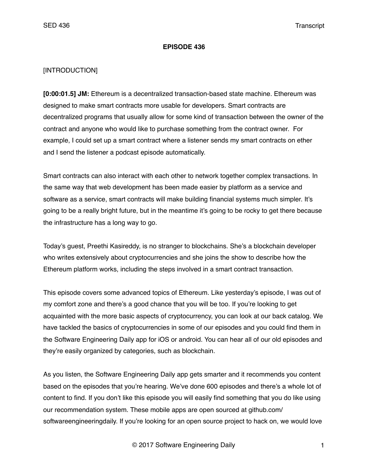#### **EPISODE 436**

### [INTRODUCTION]

**[0:00:01.5] JM:** Ethereum is a decentralized transaction-based state machine. Ethereum was designed to make smart contracts more usable for developers. Smart contracts are decentralized programs that usually allow for some kind of transaction between the owner of the contract and anyone who would like to purchase something from the contract owner. For example, I could set up a smart contract where a listener sends my smart contracts on ether and I send the listener a podcast episode automatically.

Smart contracts can also interact with each other to network together complex transactions. In the same way that web development has been made easier by platform as a service and software as a service, smart contracts will make building financial systems much simpler. It's going to be a really bright future, but in the meantime it's going to be rocky to get there because the infrastructure has a long way to go.

Today's guest, Preethi Kasireddy, is no stranger to blockchains. She's a blockchain developer who writes extensively about cryptocurrencies and she joins the show to describe how the Ethereum platform works, including the steps involved in a smart contract transaction.

This episode covers some advanced topics of Ethereum. Like yesterday's episode, I was out of my comfort zone and there's a good chance that you will be too. If you're looking to get acquainted with the more basic aspects of cryptocurrency, you can look at our back catalog. We have tackled the basics of cryptocurrencies in some of our episodes and you could find them in the Software Engineering Daily app for iOS or android. You can hear all of our old episodes and they're easily organized by categories, such as blockchain.

As you listen, the Software Engineering Daily app gets smarter and it recommends you content based on the episodes that you're hearing. We've done 600 episodes and there's a whole lot of content to find. If you don't like this episode you will easily find something that you do like using our recommendation system. These mobile apps are open sourced at github.com/ softwareengineeringdaily. If you're looking for an open source project to hack on, we would love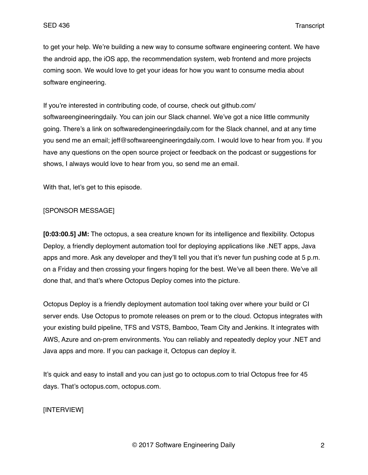to get your help. We're building a new way to consume software engineering content. We have the android app, the iOS app, the recommendation system, web frontend and more projects coming soon. We would love to get your ideas for how you want to consume media about software engineering.

If you're interested in contributing code, of course, check out github.com/ softwareengineeringdaily. You can join our Slack channel. We've got a nice little community going. There's a link on softwaredengineeringdaily.com for the Slack channel, and at any time you send me an email; jeff@softwareengineeringdaily.com. I would love to hear from you. If you have any questions on the open source project or feedback on the podcast or suggestions for shows, I always would love to hear from you, so send me an email.

With that, let's get to this episode.

### [SPONSOR MESSAGE]

**[0:03:00.5] JM:** The octopus, a sea creature known for its intelligence and flexibility. Octopus Deploy, a friendly deployment automation tool for deploying applications like .NET apps, Java apps and more. Ask any developer and they'll tell you that it's never fun pushing code at 5 p.m. on a Friday and then crossing your fingers hoping for the best. We've all been there. We've all done that, and that's where Octopus Deploy comes into the picture.

Octopus Deploy is a friendly deployment automation tool taking over where your build or CI server ends. Use Octopus to promote releases on prem or to the cloud. Octopus integrates with your existing build pipeline, TFS and VSTS, Bamboo, Team City and Jenkins. It integrates with AWS, Azure and on-prem environments. You can reliably and repeatedly deploy your .NET and Java apps and more. If you can package it, Octopus can deploy it.

It's quick and easy to install and you can just go to octopus.com to trial Octopus free for 45 days. That's octopus.com, octopus.com.

# [INTERVIEW]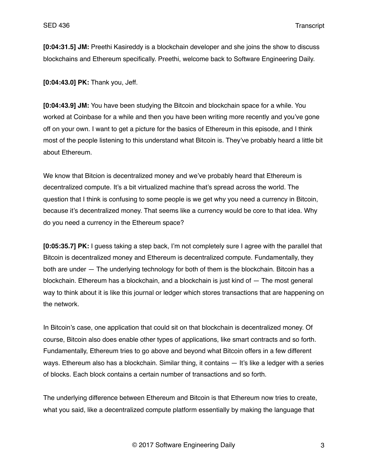**[0:04:31.5] JM:** Preethi Kasireddy is a blockchain developer and she joins the show to discuss blockchains and Ethereum specifically. Preethi, welcome back to Software Engineering Daily.

**[0:04:43.0] PK:** Thank you, Jeff.

**[0:04:43.9] JM:** You have been studying the Bitcoin and blockchain space for a while. You worked at Coinbase for a while and then you have been writing more recently and you've gone off on your own. I want to get a picture for the basics of Ethereum in this episode, and I think most of the people listening to this understand what Bitcoin is. They've probably heard a little bit about Ethereum.

We know that Bitcion is decentralized money and we've probably heard that Ethereum is decentralized compute. It's a bit virtualized machine that's spread across the world. The question that I think is confusing to some people is we get why you need a currency in Bitcoin, because it's decentralized money. That seems like a currency would be core to that idea. Why do you need a currency in the Ethereum space?

**[0:05:35.7] PK:** I guess taking a step back, I'm not completely sure I agree with the parallel that Bitcoin is decentralized money and Ethereum is decentralized compute. Fundamentally, they both are under — The underlying technology for both of them is the blockchain. Bitcoin has a blockchain. Ethereum has a blockchain, and a blockchain is just kind of — The most general way to think about it is like this journal or ledger which stores transactions that are happening on the network.

In Bitcoin's case, one application that could sit on that blockchain is decentralized money. Of course, Bitcoin also does enable other types of applications, like smart contracts and so forth. Fundamentally, Ethereum tries to go above and beyond what Bitcoin offers in a few different ways. Ethereum also has a blockchain. Similar thing, it contains — It's like a ledger with a series of blocks. Each block contains a certain number of transactions and so forth.

The underlying difference between Ethereum and Bitcoin is that Ethereum now tries to create, what you said, like a decentralized compute platform essentially by making the language that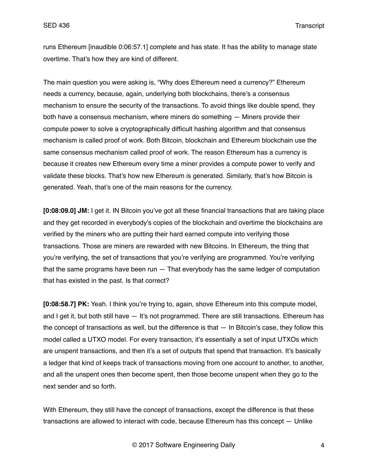runs Ethereum [inaudible 0:06:57.1] complete and has state. It has the ability to manage state overtime. That's how they are kind of different.

The main question you were asking is, "Why does Ethereum need a currency?" Ethereum needs a currency, because, again, underlying both blockchains, there's a consensus mechanism to ensure the security of the transactions. To avoid things like double spend, they both have a consensus mechanism, where miners do something — Miners provide their compute power to solve a cryptographically difficult hashing algorithm and that consensus mechanism is called proof of work. Both Bitcoin, blockchain and Ethereum blockchain use the same consensus mechanism called proof of work. The reason Ethereum has a currency is because it creates new Ethereum every time a miner provides a compute power to verify and validate these blocks. That's how new Ethereum is generated. Similarly, that's how Bitcoin is generated. Yeah, that's one of the main reasons for the currency.

**[0:08:09.0] JM:** I get it. IN Bitcoin you've got all these financial transactions that are taking place and they get recorded in everybody's copies of the blockchain and overtime the blockchains are verified by the miners who are putting their hard earned compute into verifying those transactions. Those are miners are rewarded with new Bitcoins. In Ethereum, the thing that you're verifying, the set of transactions that you're verifying are programmed. You're verifying that the same programs have been run — That everybody has the same ledger of computation that has existed in the past. Is that correct?

**[0:08:58.7] PK:** Yeah. I think you're trying to, again, shove Ethereum into this compute model, and I get it, but both still have  $-$  It's not programmed. There are still transactions. Ethereum has the concept of transactions as well, but the difference is that — In Bitcoin's case, they follow this model called a UTXO model. For every transaction, it's essentially a set of input UTXOs which are unspent transactions, and then it's a set of outputs that spend that transaction. It's basically a ledger that kind of keeps track of transactions moving from one account to another, to another, and all the unspent ones then become spent, then those become unspent when they go to the next sender and so forth.

With Ethereum, they still have the concept of transactions, except the difference is that these transactions are allowed to interact with code, because Ethereum has this concept — Unlike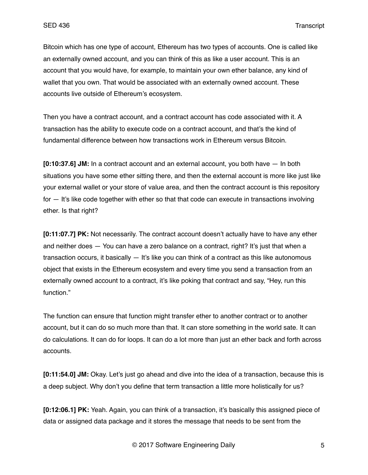Bitcoin which has one type of account, Ethereum has two types of accounts. One is called like an externally owned account, and you can think of this as like a user account. This is an account that you would have, for example, to maintain your own ether balance, any kind of wallet that you own. That would be associated with an externally owned account. These accounts live outside of Ethereum's ecosystem.

Then you have a contract account, and a contract account has code associated with it. A transaction has the ability to execute code on a contract account, and that's the kind of fundamental difference between how transactions work in Ethereum versus Bitcoin.

**[0:10:37.6] JM:** In a contract account and an external account, you both have — In both situations you have some ether sitting there, and then the external account is more like just like your external wallet or your store of value area, and then the contract account is this repository for — It's like code together with ether so that that code can execute in transactions involving ether. Is that right?

**[0:11:07.7] PK:** Not necessarily. The contract account doesn't actually have to have any ether and neither does — You can have a zero balance on a contract, right? It's just that when a transaction occurs, it basically — It's like you can think of a contract as this like autonomous object that exists in the Ethereum ecosystem and every time you send a transaction from an externally owned account to a contract, it's like poking that contract and say, "Hey, run this function."

The function can ensure that function might transfer ether to another contract or to another account, but it can do so much more than that. It can store something in the world sate. It can do calculations. It can do for loops. It can do a lot more than just an ether back and forth across accounts.

**[0:11:54.0] JM:** Okay. Let's just go ahead and dive into the idea of a transaction, because this is a deep subject. Why don't you define that term transaction a little more holistically for us?

**[0:12:06.1] PK:** Yeah. Again, you can think of a transaction, it's basically this assigned piece of data or assigned data package and it stores the message that needs to be sent from the

© 2017 Software Engineering Daily 5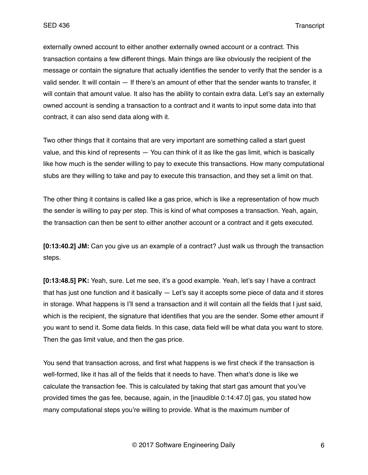externally owned account to either another externally owned account or a contract. This transaction contains a few different things. Main things are like obviously the recipient of the message or contain the signature that actually identifies the sender to verify that the sender is a valid sender. It will contain — If there's an amount of ether that the sender wants to transfer, it will contain that amount value. It also has the ability to contain extra data. Let's say an externally owned account is sending a transaction to a contract and it wants to input some data into that contract, it can also send data along with it.

Two other things that it contains that are very important are something called a start guest value, and this kind of represents — You can think of it as like the gas limit, which is basically like how much is the sender willing to pay to execute this transactions. How many computational stubs are they willing to take and pay to execute this transaction, and they set a limit on that.

The other thing it contains is called like a gas price, which is like a representation of how much the sender is willing to pay per step. This is kind of what composes a transaction. Yeah, again, the transaction can then be sent to either another account or a contract and it gets executed.

**[0:13:40.2] JM:** Can you give us an example of a contract? Just walk us through the transaction steps.

**[0:13:48.5] PK:** Yeah, sure. Let me see, it's a good example. Yeah, let's say I have a contract that has just one function and it basically  $-$  Let's say it accepts some piece of data and it stores in storage. What happens is I'll send a transaction and it will contain all the fields that I just said, which is the recipient, the signature that identifies that you are the sender. Some ether amount if you want to send it. Some data fields. In this case, data field will be what data you want to store. Then the gas limit value, and then the gas price.

You send that transaction across, and first what happens is we first check if the transaction is well-formed, like it has all of the fields that it needs to have. Then what's done is like we calculate the transaction fee. This is calculated by taking that start gas amount that you've provided times the gas fee, because, again, in the [inaudible 0:14:47.0] gas, you stated how many computational steps you're willing to provide. What is the maximum number of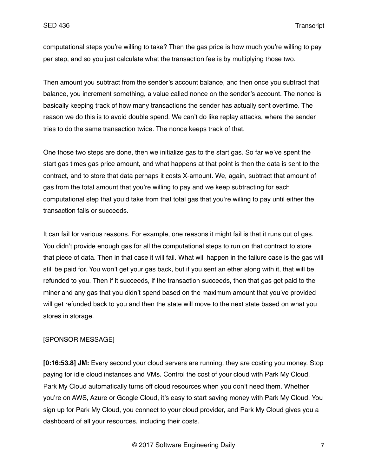computational steps you're willing to take? Then the gas price is how much you're willing to pay per step, and so you just calculate what the transaction fee is by multiplying those two.

Then amount you subtract from the sender's account balance, and then once you subtract that balance, you increment something, a value called nonce on the sender's account. The nonce is basically keeping track of how many transactions the sender has actually sent overtime. The reason we do this is to avoid double spend. We can't do like replay attacks, where the sender tries to do the same transaction twice. The nonce keeps track of that.

One those two steps are done, then we initialize gas to the start gas. So far we've spent the start gas times gas price amount, and what happens at that point is then the data is sent to the contract, and to store that data perhaps it costs X-amount. We, again, subtract that amount of gas from the total amount that you're willing to pay and we keep subtracting for each computational step that you'd take from that total gas that you're willing to pay until either the transaction fails or succeeds.

It can fail for various reasons. For example, one reasons it might fail is that it runs out of gas. You didn't provide enough gas for all the computational steps to run on that contract to store that piece of data. Then in that case it will fail. What will happen in the failure case is the gas will still be paid for. You won't get your gas back, but if you sent an ether along with it, that will be refunded to you. Then if it succeeds, if the transaction succeeds, then that gas get paid to the miner and any gas that you didn't spend based on the maximum amount that you've provided will get refunded back to you and then the state will move to the next state based on what you stores in storage.

### [SPONSOR MESSAGE]

**[0:16:53.8] JM:** Every second your cloud servers are running, they are costing you money. Stop paying for idle cloud instances and VMs. Control the cost of your cloud with Park My Cloud. Park My Cloud automatically turns off cloud resources when you don't need them. Whether you're on AWS, Azure or Google Cloud, it's easy to start saving money with Park My Cloud. You sign up for Park My Cloud, you connect to your cloud provider, and Park My Cloud gives you a dashboard of all your resources, including their costs.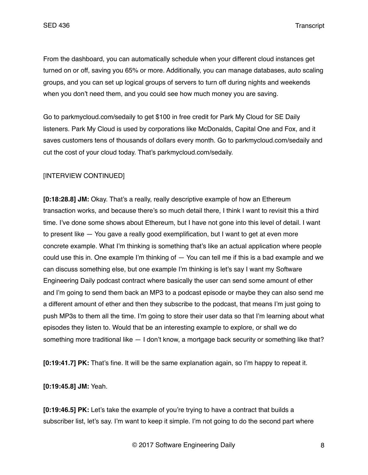From the dashboard, you can automatically schedule when your different cloud instances get turned on or off, saving you 65% or more. Additionally, you can manage databases, auto scaling groups, and you can set up logical groups of servers to turn off during nights and weekends when you don't need them, and you could see how much money you are saving.

Go to parkmycloud.com/sedaily to get \$100 in free credit for Park My Cloud for SE Daily listeners. Park My Cloud is used by corporations like McDonalds, Capital One and Fox, and it saves customers tens of thousands of dollars every month. Go to parkmycloud.com/sedaily and cut the cost of your cloud today. That's parkmycloud.com/sedaily.

# [INTERVIEW CONTINUED]

**[0:18:28.8] JM:** Okay. That's a really, really descriptive example of how an Ethereum transaction works, and because there's so much detail there, I think I want to revisit this a third time. I've done some shows about Ethereum, but I have not gone into this level of detail. I want to present like — You gave a really good exemplification, but I want to get at even more concrete example. What I'm thinking is something that's like an actual application where people could use this in. One example I'm thinking of  $-$  You can tell me if this is a bad example and we can discuss something else, but one example I'm thinking is let's say I want my Software Engineering Daily podcast contract where basically the user can send some amount of ether and I'm going to send them back an MP3 to a podcast episode or maybe they can also send me a different amount of ether and then they subscribe to the podcast, that means I'm just going to push MP3s to them all the time. I'm going to store their user data so that I'm learning about what episodes they listen to. Would that be an interesting example to explore, or shall we do something more traditional like — I don't know, a mortgage back security or something like that?

**[0:19:41.7] PK:** That's fine. It will be the same explanation again, so I'm happy to repeat it.

**[0:19:45.8] JM:** Yeah.

**[0:19:46.5] PK:** Let's take the example of you're trying to have a contract that builds a subscriber list, let's say. I'm want to keep it simple. I'm not going to do the second part where

© 2017 Software Engineering Daily 8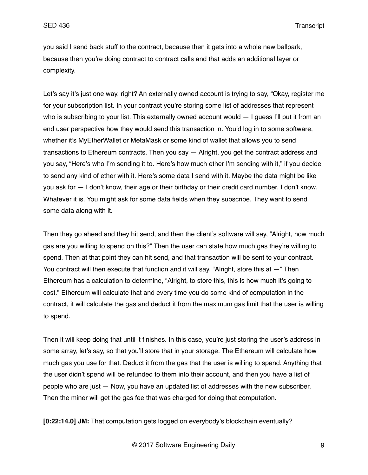you said I send back stuff to the contract, because then it gets into a whole new ballpark, because then you're doing contract to contract calls and that adds an additional layer or complexity.

Let's say it's just one way, right? An externally owned account is trying to say, "Okay, register me for your subscription list. In your contract you're storing some list of addresses that represent who is subscribing to your list. This externally owned account would  $-1$  quess I'll put it from an end user perspective how they would send this transaction in. You'd log in to some software, whether it's MyEtherWallet or MetaMask or some kind of wallet that allows you to send transactions to Ethereum contracts. Then you say — Alright, you get the contract address and you say, "Here's who I'm sending it to. Here's how much ether I'm sending with it," if you decide to send any kind of ether with it. Here's some data I send with it. Maybe the data might be like you ask for — I don't know, their age or their birthday or their credit card number. I don't know. Whatever it is. You might ask for some data fields when they subscribe. They want to send some data along with it.

Then they go ahead and they hit send, and then the client's software will say, "Alright, how much gas are you willing to spend on this?" Then the user can state how much gas they're willing to spend. Then at that point they can hit send, and that transaction will be sent to your contract. You contract will then execute that function and it will say, "Alright, store this at  $-$ " Then Ethereum has a calculation to determine, "Alright, to store this, this is how much it's going to cost." Ethereum will calculate that and every time you do some kind of computation in the contract, it will calculate the gas and deduct it from the maximum gas limit that the user is willing to spend.

Then it will keep doing that until it finishes. In this case, you're just storing the user's address in some array, let's say, so that you'll store that in your storage. The Ethereum will calculate how much gas you use for that. Deduct it from the gas that the user is willing to spend. Anything that the user didn't spend will be refunded to them into their account, and then you have a list of people who are just — Now, you have an updated list of addresses with the new subscriber. Then the miner will get the gas fee that was charged for doing that computation.

**[0:22:14.0] JM:** That computation gets logged on everybody's blockchain eventually?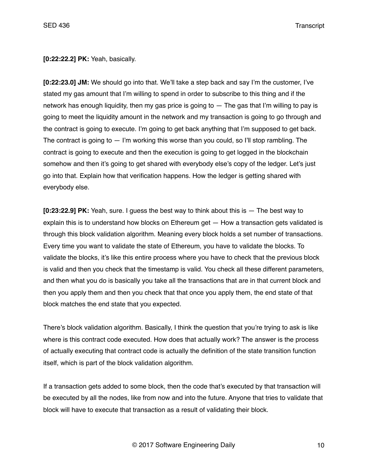**[0:22:22.2] PK:** Yeah, basically.

**[0:22:23.0] JM:** We should go into that. We'll take a step back and say I'm the customer, I've stated my gas amount that I'm willing to spend in order to subscribe to this thing and if the network has enough liquidity, then my gas price is going to — The gas that I'm willing to pay is going to meet the liquidity amount in the network and my transaction is going to go through and the contract is going to execute. I'm going to get back anything that I'm supposed to get back. The contract is going to  $-$  I'm working this worse than you could, so I'll stop rambling. The contract is going to execute and then the execution is going to get logged in the blockchain somehow and then it's going to get shared with everybody else's copy of the ledger. Let's just go into that. Explain how that verification happens. How the ledger is getting shared with everybody else.

**[0:23:22.9] PK:** Yeah, sure. I guess the best way to think about this is — The best way to explain this is to understand how blocks on Ethereum get — How a transaction gets validated is through this block validation algorithm. Meaning every block holds a set number of transactions. Every time you want to validate the state of Ethereum, you have to validate the blocks. To validate the blocks, it's like this entire process where you have to check that the previous block is valid and then you check that the timestamp is valid. You check all these different parameters, and then what you do is basically you take all the transactions that are in that current block and then you apply them and then you check that that once you apply them, the end state of that block matches the end state that you expected.

There's block validation algorithm. Basically, I think the question that you're trying to ask is like where is this contract code executed. How does that actually work? The answer is the process of actually executing that contract code is actually the definition of the state transition function itself, which is part of the block validation algorithm.

If a transaction gets added to some block, then the code that's executed by that transaction will be executed by all the nodes, like from now and into the future. Anyone that tries to validate that block will have to execute that transaction as a result of validating their block.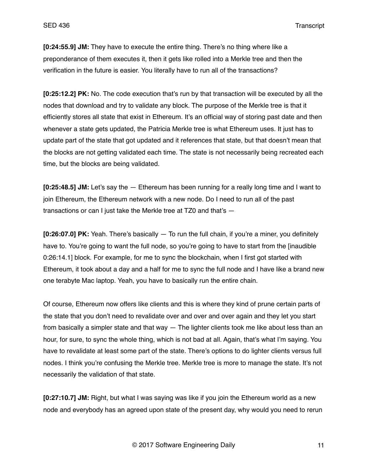**[0:24:55.9] JM:** They have to execute the entire thing. There's no thing where like a preponderance of them executes it, then it gets like rolled into a Merkle tree and then the verification in the future is easier. You literally have to run all of the transactions?

**[0:25:12.2] PK:** No. The code execution that's run by that transaction will be executed by all the nodes that download and try to validate any block. The purpose of the Merkle tree is that it efficiently stores all state that exist in Ethereum. It's an official way of storing past date and then whenever a state gets updated, the Patricia Merkle tree is what Ethereum uses. It just has to update part of the state that got updated and it references that state, but that doesn't mean that the blocks are not getting validated each time. The state is not necessarily being recreated each time, but the blocks are being validated.

**[0:25:48.5] JM:** Let's say the — Ethereum has been running for a really long time and I want to join Ethereum, the Ethereum network with a new node. Do I need to run all of the past transactions or can I just take the Merkle tree at TZ0 and that's —

**[0:26:07.0] PK:** Yeah. There's basically — To run the full chain, if you're a miner, you definitely have to. You're going to want the full node, so you're going to have to start from the [inaudible 0:26:14.1] block. For example, for me to sync the blockchain, when I first got started with Ethereum, it took about a day and a half for me to sync the full node and I have like a brand new one terabyte Mac laptop. Yeah, you have to basically run the entire chain.

Of course, Ethereum now offers like clients and this is where they kind of prune certain parts of the state that you don't need to revalidate over and over and over again and they let you start from basically a simpler state and that way — The lighter clients took me like about less than an hour, for sure, to sync the whole thing, which is not bad at all. Again, that's what I'm saying. You have to revalidate at least some part of the state. There's options to do lighter clients versus full nodes. I think you're confusing the Merkle tree. Merkle tree is more to manage the state. It's not necessarily the validation of that state.

**[0:27:10.7] JM:** Right, but what I was saying was like if you join the Ethereum world as a new node and everybody has an agreed upon state of the present day, why would you need to rerun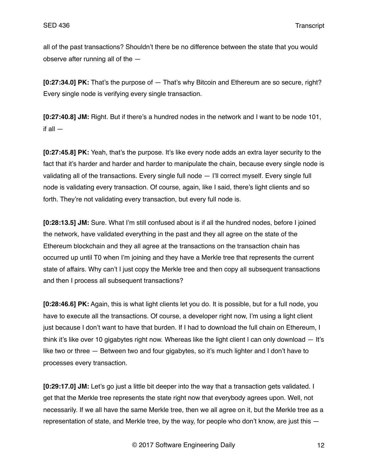all of the past transactions? Shouldn't there be no difference between the state that you would observe after running all of the —

**[0:27:34.0] PK:** That's the purpose of — That's why Bitcoin and Ethereum are so secure, right? Every single node is verifying every single transaction.

**[0:27:40.8] JM:** Right. But if there's a hundred nodes in the network and I want to be node 101, if all —

**[0:27:45.8] PK:** Yeah, that's the purpose. It's like every node adds an extra layer security to the fact that it's harder and harder and harder to manipulate the chain, because every single node is validating all of the transactions. Every single full node — I'll correct myself. Every single full node is validating every transaction. Of course, again, like I said, there's light clients and so forth. They're not validating every transaction, but every full node is.

**[0:28:13.5] JM:** Sure. What I'm still confused about is if all the hundred nodes, before I joined the network, have validated everything in the past and they all agree on the state of the Ethereum blockchain and they all agree at the transactions on the transaction chain has occurred up until T0 when I'm joining and they have a Merkle tree that represents the current state of affairs. Why can't I just copy the Merkle tree and then copy all subsequent transactions and then I process all subsequent transactions?

**[0:28:46.6] PK:** Again, this is what light clients let you do. It is possible, but for a full node, you have to execute all the transactions. Of course, a developer right now, I'm using a light client just because I don't want to have that burden. If I had to download the full chain on Ethereum, I think it's like over 10 gigabytes right now. Whereas like the light client I can only download — It's like two or three — Between two and four gigabytes, so it's much lighter and I don't have to processes every transaction.

**[0:29:17.0] JM:** Let's go just a little bit deeper into the way that a transaction gets validated. I get that the Merkle tree represents the state right now that everybody agrees upon. Well, not necessarily. If we all have the same Merkle tree, then we all agree on it, but the Merkle tree as a representation of state, and Merkle tree, by the way, for people who don't know, are just this —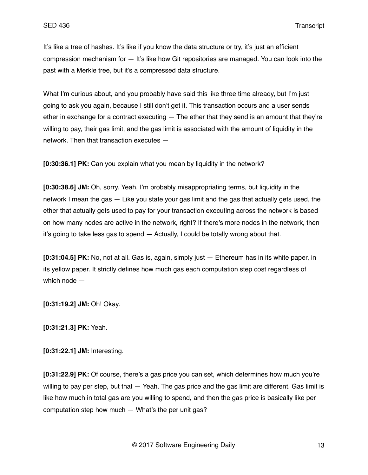It's like a tree of hashes. It's like if you know the data structure or try, it's just an efficient compression mechanism for — It's like how Git repositories are managed. You can look into the past with a Merkle tree, but it's a compressed data structure.

What I'm curious about, and you probably have said this like three time already, but I'm just going to ask you again, because I still don't get it. This transaction occurs and a user sends ether in exchange for a contract executing  $-$  The ether that they send is an amount that they're willing to pay, their gas limit, and the gas limit is associated with the amount of liquidity in the network. Then that transaction executes —

**[0:30:36.1] PK:** Can you explain what you mean by liquidity in the network?

**[0:30:38.6] JM:** Oh, sorry. Yeah. I'm probably misappropriating terms, but liquidity in the network I mean the gas — Like you state your gas limit and the gas that actually gets used, the ether that actually gets used to pay for your transaction executing across the network is based on how many nodes are active in the network, right? If there's more nodes in the network, then it's going to take less gas to spend — Actually, I could be totally wrong about that.

**[0:31:04.5] PK:** No, not at all. Gas is, again, simply just — Ethereum has in its white paper, in its yellow paper. It strictly defines how much gas each computation step cost regardless of which node —

**[0:31:19.2] JM:** Oh! Okay.

**[0:31:21.3] PK:** Yeah.

**[0:31:22.1] JM:** Interesting.

**[0:31:22.9] PK:** Of course, there's a gas price you can set, which determines how much you're willing to pay per step, but that  $-$  Yeah. The gas price and the gas limit are different. Gas limit is like how much in total gas are you willing to spend, and then the gas price is basically like per computation step how much — What's the per unit gas?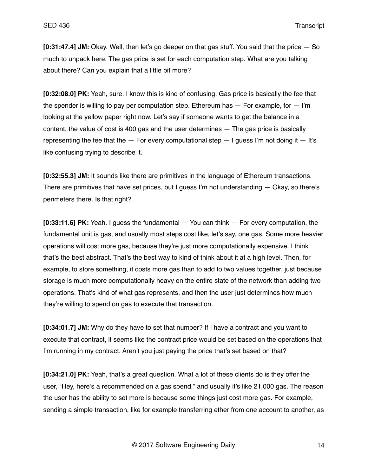**[0:31:47.4] JM:** Okay. Well, then let's go deeper on that gas stuff. You said that the price — So much to unpack here. The gas price is set for each computation step. What are you talking about there? Can you explain that a little bit more?

**[0:32:08.0] PK:** Yeah, sure. I know this is kind of confusing. Gas price is basically the fee that the spender is willing to pay per computation step. Ethereum has  $-$  For example, for  $-$  I'm looking at the yellow paper right now. Let's say if someone wants to get the balance in a content, the value of cost is 400 gas and the user determines — The gas price is basically representing the fee that the  $-$  For every computational step  $-$  I guess I'm not doing it  $-$  It's like confusing trying to describe it.

**[0:32:55.3] JM:** It sounds like there are primitives in the language of Ethereum transactions. There are primitives that have set prices, but I guess I'm not understanding — Okay, so there's perimeters there. Is that right?

**[0:33:11.6] PK:** Yeah. I guess the fundamental — You can think — For every computation, the fundamental unit is gas, and usually most steps cost like, let's say, one gas. Some more heavier operations will cost more gas, because they're just more computationally expensive. I think that's the best abstract. That's the best way to kind of think about it at a high level. Then, for example, to store something, it costs more gas than to add to two values together, just because storage is much more computationally heavy on the entire state of the network than adding two operations. That's kind of what gas represents, and then the user just determines how much they're willing to spend on gas to execute that transaction.

**[0:34:01.7] JM:** Why do they have to set that number? If I have a contract and you want to execute that contract, it seems like the contract price would be set based on the operations that I'm running in my contract. Aren't you just paying the price that's set based on that?

**[0:34:21.0] PK:** Yeah, that's a great question. What a lot of these clients do is they offer the user, "Hey, here's a recommended on a gas spend," and usually it's like 21,000 gas. The reason the user has the ability to set more is because some things just cost more gas. For example, sending a simple transaction, like for example transferring ether from one account to another, as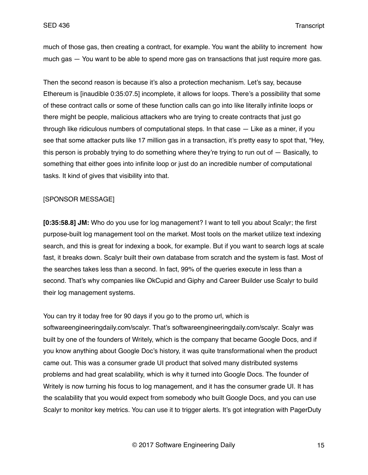much of those gas, then creating a contract, for example. You want the ability to increment how much gas — You want to be able to spend more gas on transactions that just require more gas.

Then the second reason is because it's also a protection mechanism. Let's say, because Ethereum is [inaudible 0:35:07.5] incomplete, it allows for loops. There's a possibility that some of these contract calls or some of these function calls can go into like literally infinite loops or there might be people, malicious attackers who are trying to create contracts that just go through like ridiculous numbers of computational steps. In that case — Like as a miner, if you see that some attacker puts like 17 million gas in a transaction, it's pretty easy to spot that, "Hey, this person is probably trying to do something where they're trying to run out of — Basically, to something that either goes into infinite loop or just do an incredible number of computational tasks. It kind of gives that visibility into that.

### [SPONSOR MESSAGE]

**[0:35:58.8] JM:** Who do you use for log management? I want to tell you about Scalyr; the first purpose-built log management tool on the market. Most tools on the market utilize text indexing search, and this is great for indexing a book, for example. But if you want to search logs at scale fast, it breaks down. Scalyr built their own database from scratch and the system is fast. Most of the searches takes less than a second. In fact, 99% of the queries execute in less than a second. That's why companies like OkCupid and Giphy and Career Builder use Scalyr to build their log management systems.

You can try it today free for 90 days if you go to the promo url, which is softwareengineeringdaily.com/scalyr. That's softwareengineeringdaily.com/scalyr. Scalyr was built by one of the founders of Writely, which is the company that became Google Docs, and if you know anything about Google Doc's history, it was quite transformational when the product came out. This was a consumer grade UI product that solved many distributed systems problems and had great scalability, which is why it turned into Google Docs. The founder of Writely is now turning his focus to log management, and it has the consumer grade UI. It has the scalability that you would expect from somebody who built Google Docs, and you can use Scalyr to monitor key metrics. You can use it to trigger alerts. It's got integration with PagerDuty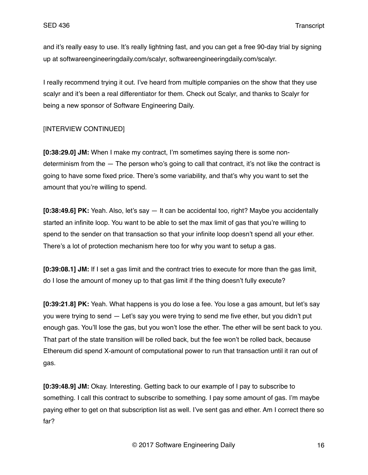and it's really easy to use. It's really lightning fast, and you can get a free 90-day trial by signing up at softwareengineeringdaily.com/scalyr, softwareengineeringdaily.com/scalyr.

I really recommend trying it out. I've heard from multiple companies on the show that they use scalyr and it's been a real differentiator for them. Check out Scalyr, and thanks to Scalyr for being a new sponsor of Software Engineering Daily.

# [INTERVIEW CONTINUED]

**[0:38:29.0] JM:** When I make my contract, I'm sometimes saying there is some nondeterminism from the — The person who's going to call that contract, it's not like the contract is going to have some fixed price. There's some variability, and that's why you want to set the amount that you're willing to spend.

**[0:38:49.6] PK:** Yeah. Also, let's say — It can be accidental too, right? Maybe you accidentally started an infinite loop. You want to be able to set the max limit of gas that you're willing to spend to the sender on that transaction so that your infinite loop doesn't spend all your ether. There's a lot of protection mechanism here too for why you want to setup a gas.

**[0:39:08.1] JM:** If I set a gas limit and the contract tries to execute for more than the gas limit, do I lose the amount of money up to that gas limit if the thing doesn't fully execute?

**[0:39:21.8] PK:** Yeah. What happens is you do lose a fee. You lose a gas amount, but let's say you were trying to send — Let's say you were trying to send me five ether, but you didn't put enough gas. You'll lose the gas, but you won't lose the ether. The ether will be sent back to you. That part of the state transition will be rolled back, but the fee won't be rolled back, because Ethereum did spend X-amount of computational power to run that transaction until it ran out of gas.

**[0:39:48.9] JM:** Okay. Interesting. Getting back to our example of I pay to subscribe to something. I call this contract to subscribe to something. I pay some amount of gas. I'm maybe paying ether to get on that subscription list as well. I've sent gas and ether. Am I correct there so far?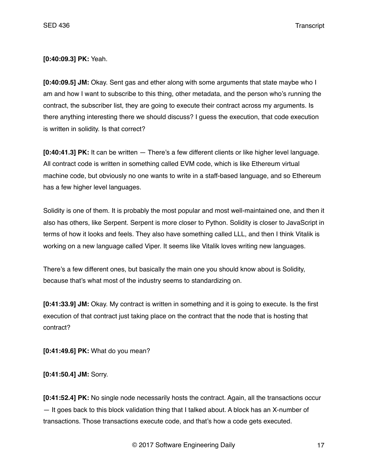**[0:40:09.3] PK:** Yeah.

**[0:40:09.5] JM:** Okay. Sent gas and ether along with some arguments that state maybe who I am and how I want to subscribe to this thing, other metadata, and the person who's running the contract, the subscriber list, they are going to execute their contract across my arguments. Is there anything interesting there we should discuss? I guess the execution, that code execution is written in solidity. Is that correct?

**[0:40:41.3] PK:** It can be written — There's a few different clients or like higher level language. All contract code is written in something called EVM code, which is like Ethereum virtual machine code, but obviously no one wants to write in a staff-based language, and so Ethereum has a few higher level languages.

Solidity is one of them. It is probably the most popular and most well-maintained one, and then it also has others, like Serpent. Serpent is more closer to Python. Solidity is closer to JavaScript in terms of how it looks and feels. They also have something called LLL, and then I think Vitalik is working on a new language called Viper. It seems like Vitalik loves writing new languages.

There's a few different ones, but basically the main one you should know about is Solidity, because that's what most of the industry seems to standardizing on.

**[0:41:33.9] JM:** Okay. My contract is written in something and it is going to execute. Is the first execution of that contract just taking place on the contract that the node that is hosting that contract?

**[0:41:49.6] PK:** What do you mean?

**[0:41:50.4] JM:** Sorry.

**[0:41:52.4] PK:** No single node necessarily hosts the contract. Again, all the transactions occur — It goes back to this block validation thing that I talked about. A block has an X-number of transactions. Those transactions execute code, and that's how a code gets executed.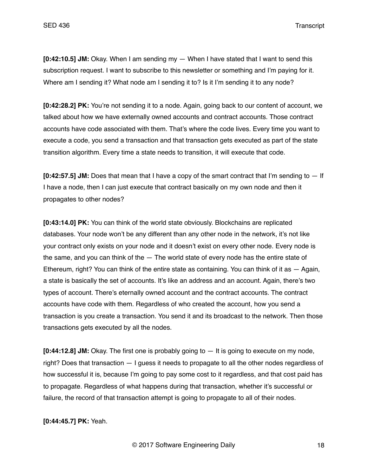**[0:42:10.5] JM:** Okay. When I am sending my — When I have stated that I want to send this subscription request. I want to subscribe to this newsletter or something and I'm paying for it. Where am I sending it? What node am I sending it to? Is it I'm sending it to any node?

**[0:42:28.2] PK:** You're not sending it to a node. Again, going back to our content of account, we talked about how we have externally owned accounts and contract accounts. Those contract accounts have code associated with them. That's where the code lives. Every time you want to execute a code, you send a transaction and that transaction gets executed as part of the state transition algorithm. Every time a state needs to transition, it will execute that code.

**[0:42:57.5] JM:** Does that mean that I have a copy of the smart contract that I'm sending to — If I have a node, then I can just execute that contract basically on my own node and then it propagates to other nodes?

**[0:43:14.0] PK:** You can think of the world state obviously. Blockchains are replicated databases. Your node won't be any different than any other node in the network, it's not like your contract only exists on your node and it doesn't exist on every other node. Every node is the same, and you can think of the — The world state of every node has the entire state of Ethereum, right? You can think of the entire state as containing. You can think of it as  $-$  Again, a state is basically the set of accounts. It's like an address and an account. Again, there's two types of account. There's eternally owned account and the contract accounts. The contract accounts have code with them. Regardless of who created the account, how you send a transaction is you create a transaction. You send it and its broadcast to the network. Then those transactions gets executed by all the nodes.

**[0:44:12.8] JM:** Okay. The first one is probably going to — It is going to execute on my node, right? Does that transaction — I guess it needs to propagate to all the other nodes regardless of how successful it is, because I'm going to pay some cost to it regardless, and that cost paid has to propagate. Regardless of what happens during that transaction, whether it's successful or failure, the record of that transaction attempt is going to propagate to all of their nodes.

### **[0:44:45.7] PK:** Yeah.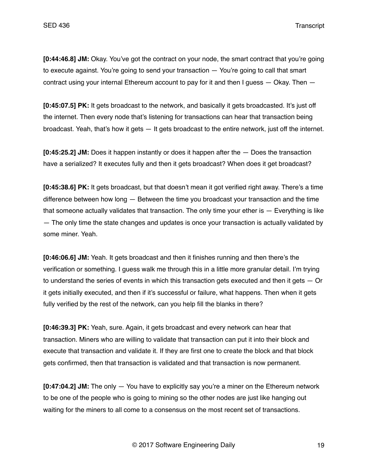**[0:44:46.8] JM:** Okay. You've got the contract on your node, the smart contract that you're going to execute against. You're going to send your transaction — You're going to call that smart contract using your internal Ethereum account to pay for it and then  $I$  guess  $-$  Okay. Then  $-$ 

**[0:45:07.5] PK:** It gets broadcast to the network, and basically it gets broadcasted. It's just off the internet. Then every node that's listening for transactions can hear that transaction being broadcast. Yeah, that's how it gets — It gets broadcast to the entire network, just off the internet.

**[0:45:25.2] JM:** Does it happen instantly or does it happen after the — Does the transaction have a serialized? It executes fully and then it gets broadcast? When does it get broadcast?

**[0:45:38.6] PK:** It gets broadcast, but that doesn't mean it got verified right away. There's a time difference between how long — Between the time you broadcast your transaction and the time that someone actually validates that transaction. The only time your ether is — Everything is like — The only time the state changes and updates is once your transaction is actually validated by some miner. Yeah.

**[0:46:06.6] JM:** Yeah. It gets broadcast and then it finishes running and then there's the verification or something. I guess walk me through this in a little more granular detail. I'm trying to understand the series of events in which this transaction gets executed and then it gets — Or it gets initially executed, and then if it's successful or failure, what happens. Then when it gets fully verified by the rest of the network, can you help fill the blanks in there?

**[0:46:39.3] PK:** Yeah, sure. Again, it gets broadcast and every network can hear that transaction. Miners who are willing to validate that transaction can put it into their block and execute that transaction and validate it. If they are first one to create the block and that block gets confirmed, then that transaction is validated and that transaction is now permanent.

**[0:47:04.2] JM:** The only — You have to explicitly say you're a miner on the Ethereum network to be one of the people who is going to mining so the other nodes are just like hanging out waiting for the miners to all come to a consensus on the most recent set of transactions.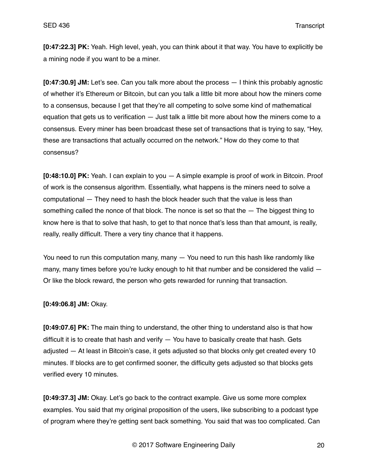**[0:47:22.3] PK:** Yeah. High level, yeah, you can think about it that way. You have to explicitly be a mining node if you want to be a miner.

**[0:47:30.9] JM:** Let's see. Can you talk more about the process — I think this probably agnostic of whether it's Ethereum or Bitcoin, but can you talk a little bit more about how the miners come to a consensus, because I get that they're all competing to solve some kind of mathematical equation that gets us to verification — Just talk a little bit more about how the miners come to a consensus. Every miner has been broadcast these set of transactions that is trying to say, "Hey, these are transactions that actually occurred on the network." How do they come to that consensus?

**[0:48:10.0] PK:** Yeah. I can explain to you — A simple example is proof of work in Bitcoin. Proof of work is the consensus algorithm. Essentially, what happens is the miners need to solve a computational — They need to hash the block header such that the value is less than something called the nonce of that block. The nonce is set so that the — The biggest thing to know here is that to solve that hash, to get to that nonce that's less than that amount, is really, really, really difficult. There a very tiny chance that it happens.

You need to run this computation many, many — You need to run this hash like randomly like many, many times before you're lucky enough to hit that number and be considered the valid  $-$ Or like the block reward, the person who gets rewarded for running that transaction.

#### **[0:49:06.8] JM:** Okay.

**[0:49:07.6] PK:** The main thing to understand, the other thing to understand also is that how difficult it is to create that hash and verify — You have to basically create that hash. Gets adjusted — At least in Bitcoin's case, it gets adjusted so that blocks only get created every 10 minutes. If blocks are to get confirmed sooner, the difficulty gets adjusted so that blocks gets verified every 10 minutes.

**[0:49:37.3] JM:** Okay. Let's go back to the contract example. Give us some more complex examples. You said that my original proposition of the users, like subscribing to a podcast type of program where they're getting sent back something. You said that was too complicated. Can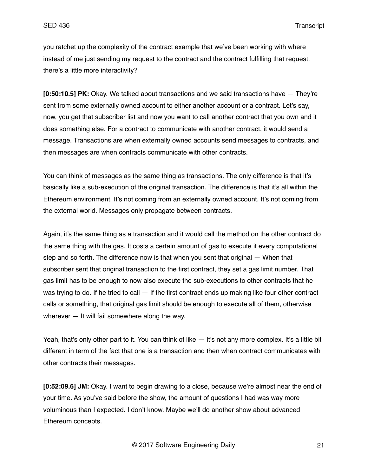you ratchet up the complexity of the contract example that we've been working with where instead of me just sending my request to the contract and the contract fulfilling that request, there's a little more interactivity?

**[0:50:10.5] PK:** Okay. We talked about transactions and we said transactions have — They're sent from some externally owned account to either another account or a contract. Let's say, now, you get that subscriber list and now you want to call another contract that you own and it does something else. For a contract to communicate with another contract, it would send a message. Transactions are when externally owned accounts send messages to contracts, and then messages are when contracts communicate with other contracts.

You can think of messages as the same thing as transactions. The only difference is that it's basically like a sub-execution of the original transaction. The difference is that it's all within the Ethereum environment. It's not coming from an externally owned account. It's not coming from the external world. Messages only propagate between contracts.

Again, it's the same thing as a transaction and it would call the method on the other contract do the same thing with the gas. It costs a certain amount of gas to execute it every computational step and so forth. The difference now is that when you sent that original — When that subscriber sent that original transaction to the first contract, they set a gas limit number. That gas limit has to be enough to now also execute the sub-executions to other contracts that he was trying to do. If he tried to call — If the first contract ends up making like four other contract calls or something, that original gas limit should be enough to execute all of them, otherwise wherever — It will fail somewhere along the way.

Yeah, that's only other part to it. You can think of like — It's not any more complex. It's a little bit different in term of the fact that one is a transaction and then when contract communicates with other contracts their messages.

**[0:52:09.6] JM:** Okay. I want to begin drawing to a close, because we're almost near the end of your time. As you've said before the show, the amount of questions I had was way more voluminous than I expected. I don't know. Maybe we'll do another show about advanced Ethereum concepts.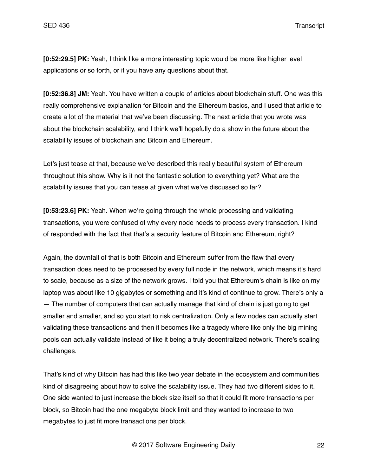**[0:52:29.5] PK:** Yeah, I think like a more interesting topic would be more like higher level applications or so forth, or if you have any questions about that.

**[0:52:36.8] JM:** Yeah. You have written a couple of articles about blockchain stuff. One was this really comprehensive explanation for Bitcoin and the Ethereum basics, and I used that article to create a lot of the material that we've been discussing. The next article that you wrote was about the blockchain scalability, and I think we'll hopefully do a show in the future about the scalability issues of blockchain and Bitcoin and Ethereum.

Let's just tease at that, because we've described this really beautiful system of Ethereum throughout this show. Why is it not the fantastic solution to everything yet? What are the scalability issues that you can tease at given what we've discussed so far?

**[0:53:23.6] PK:** Yeah. When we're going through the whole processing and validating transactions, you were confused of why every node needs to process every transaction. I kind of responded with the fact that that's a security feature of Bitcoin and Ethereum, right?

Again, the downfall of that is both Bitcoin and Ethereum suffer from the flaw that every transaction does need to be processed by every full node in the network, which means it's hard to scale, because as a size of the network grows. I told you that Ethereum's chain is like on my laptop was about like 10 gigabytes or something and it's kind of continue to grow. There's only a — The number of computers that can actually manage that kind of chain is just going to get smaller and smaller, and so you start to risk centralization. Only a few nodes can actually start validating these transactions and then it becomes like a tragedy where like only the big mining pools can actually validate instead of like it being a truly decentralized network. There's scaling challenges.

That's kind of why Bitcoin has had this like two year debate in the ecosystem and communities kind of disagreeing about how to solve the scalability issue. They had two different sides to it. One side wanted to just increase the block size itself so that it could fit more transactions per block, so Bitcoin had the one megabyte block limit and they wanted to increase to two megabytes to just fit more transactions per block.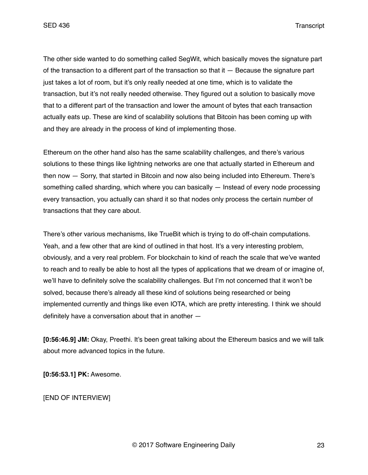The other side wanted to do something called SegWit, which basically moves the signature part of the transaction to a different part of the transaction so that it — Because the signature part just takes a lot of room, but it's only really needed at one time, which is to validate the transaction, but it's not really needed otherwise. They figured out a solution to basically move that to a different part of the transaction and lower the amount of bytes that each transaction actually eats up. These are kind of scalability solutions that Bitcoin has been coming up with and they are already in the process of kind of implementing those.

Ethereum on the other hand also has the same scalability challenges, and there's various solutions to these things like lightning networks are one that actually started in Ethereum and then now — Sorry, that started in Bitcoin and now also being included into Ethereum. There's something called sharding, which where you can basically — Instead of every node processing every transaction, you actually can shard it so that nodes only process the certain number of transactions that they care about.

There's other various mechanisms, like TrueBit which is trying to do off-chain computations. Yeah, and a few other that are kind of outlined in that host. It's a very interesting problem, obviously, and a very real problem. For blockchain to kind of reach the scale that we've wanted to reach and to really be able to host all the types of applications that we dream of or imagine of, we'll have to definitely solve the scalability challenges. But I'm not concerned that it won't be solved, because there's already all these kind of solutions being researched or being implemented currently and things like even IOTA, which are pretty interesting. I think we should definitely have a conversation about that in another —

**[0:56:46.9] JM:** Okay, Preethi. It's been great talking about the Ethereum basics and we will talk about more advanced topics in the future.

**[0:56:53.1] PK:** Awesome.

[END OF INTERVIEW]